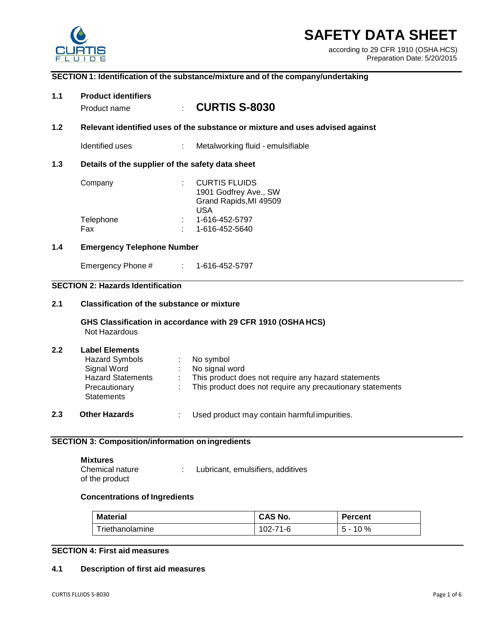

# **SAFETY DATA SHEET**

according to 29 CFR 1910 (OSHA HCS) Preparation Date: 5/20/2015

## **SECTION 1: Identification of the substance/mixture and of the company/undertaking**

| 1.1   | <b>Product identifiers</b><br>Product name                                                                               |                                                  | <b>CURTIS S-8030</b>                                                                                                                             |  |  |  |  |
|-------|--------------------------------------------------------------------------------------------------------------------------|--------------------------------------------------|--------------------------------------------------------------------------------------------------------------------------------------------------|--|--|--|--|
| $1.2$ | Relevant identified uses of the substance or mixture and uses advised against                                            |                                                  |                                                                                                                                                  |  |  |  |  |
|       | Identified uses                                                                                                          |                                                  | Metalworking fluid - emulsifiable                                                                                                                |  |  |  |  |
| 1.3   |                                                                                                                          | Details of the supplier of the safety data sheet |                                                                                                                                                  |  |  |  |  |
|       | Company                                                                                                                  |                                                  | <b>CURTIS FLUIDS</b><br>1901 Godfrey Ave., SW<br>Grand Rapids, MI 49509<br><b>USA</b>                                                            |  |  |  |  |
|       | Telephone<br>Fax                                                                                                         |                                                  | 1-616-452-5797<br>1-616-452-5640                                                                                                                 |  |  |  |  |
| 1.4   | <b>Emergency Telephone Number</b>                                                                                        |                                                  |                                                                                                                                                  |  |  |  |  |
|       | Emergency Phone #                                                                                                        |                                                  | $: 1 - 616 - 452 - 5797$                                                                                                                         |  |  |  |  |
|       | <b>SECTION 2: Hazards Identification</b>                                                                                 |                                                  |                                                                                                                                                  |  |  |  |  |
| 2.1   | <b>Classification of the substance or mixture</b>                                                                        |                                                  |                                                                                                                                                  |  |  |  |  |
|       | GHS Classification in accordance with 29 CFR 1910 (OSHAHCS)<br>Not Hazardous                                             |                                                  |                                                                                                                                                  |  |  |  |  |
| 2.2   | <b>Label Elements</b><br>Hazard Symbols<br>Signal Word<br><b>Hazard Statements</b><br>Precautionary<br><b>Statements</b> |                                                  | No symbol<br>No signal word<br>This product does not require any hazard statements<br>This product does not require any precautionary statements |  |  |  |  |
| 2.3   | <b>Other Hazards</b>                                                                                                     |                                                  | Used product may contain harmful impurities.                                                                                                     |  |  |  |  |

## **SECTION 3: Composition/information on ingredients**

| <b>Mixtures</b> |                                   |
|-----------------|-----------------------------------|
| Chemical nature | Lubricant, emulsifiers, additives |
| of the product  |                                   |

#### **Concentrations of Ingredients**

| Material        | CAS No.  | <b>Percent</b> |
|-----------------|----------|----------------|
| Triethanolamine | 102-71-6 | $5 - 10 \%$    |

## **SECTION 4: First aid measures**

### **4.1 Description of first aid measures**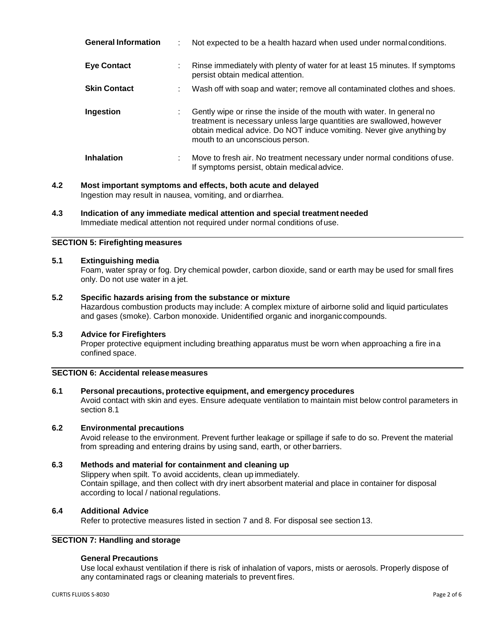| <b>General Information</b> |    | Not expected to be a health hazard when used under normal conditions.                                                                                                                                                                                       |
|----------------------------|----|-------------------------------------------------------------------------------------------------------------------------------------------------------------------------------------------------------------------------------------------------------------|
| <b>Eye Contact</b>         | ÷  | Rinse immediately with plenty of water for at least 15 minutes. If symptoms<br>persist obtain medical attention.                                                                                                                                            |
| <b>Skin Contact</b>        |    | Wash off with soap and water; remove all contaminated clothes and shoes.                                                                                                                                                                                    |
| Ingestion                  |    | Gently wipe or rinse the inside of the mouth with water. In general no<br>treatment is necessary unless large quantities are swallowed, however<br>obtain medical advice. Do NOT induce vomiting. Never give anything by<br>mouth to an unconscious person. |
| <b>Inhalation</b>          | ÷. | Move to fresh air. No treatment necessary under normal conditions of use.<br>If symptoms persist, obtain medical advice.                                                                                                                                    |

- **4.2 Most important symptoms and effects, both acute and delayed** Ingestion may result in nausea, vomiting, and ordiarrhea.
- **4.3 Indication of any immediate medical attention and special treatment needed** Immediate medical attention not required under normal conditions of use.

#### **SECTION 5: Firefighting measures**

#### **5.1 Extinguishing media**

Foam, water spray or fog. Dry chemical powder, carbon dioxide, sand or earth may be used for small fires only. Do not use water in a jet.

#### **5.2 Specific hazards arising from the substance or mixture**

Hazardous combustion products may include: A complex mixture of airborne solid and liquid particulates and gases (smoke). Carbon monoxide. Unidentified organic and inorganiccompounds.

#### **5.3 Advice for Firefighters**

Proper protective equipment including breathing apparatus must be worn when approaching a fire ina confined space.

## **SECTION 6: Accidental releasemeasures**

#### **6.1 Personal precautions, protective equipment, and emergency procedures**

Avoid contact with skin and eyes. Ensure adequate ventilation to maintain mist below control parameters in section 8.1

#### **6.2 Environmental precautions**

Avoid release to the environment. Prevent further leakage or spillage if safe to do so. Prevent the material from spreading and entering drains by using sand, earth, or other barriers.

#### **6.3 Methods and material for containment and cleaning up**

Slippery when spilt. To avoid accidents, clean up immediately. Contain spillage, and then collect with dry inert absorbent material and place in container for disposal according to local / national regulations.

#### **6.4 Additional Advice**

Refer to protective measures listed in section 7 and 8. For disposal see section 13.

## **SECTION 7: Handling and storage**

#### **General Precautions**

Use local exhaust ventilation if there is risk of inhalation of vapors, mists or aerosols. Properly dispose of any contaminated rags or cleaning materials to prevent fires.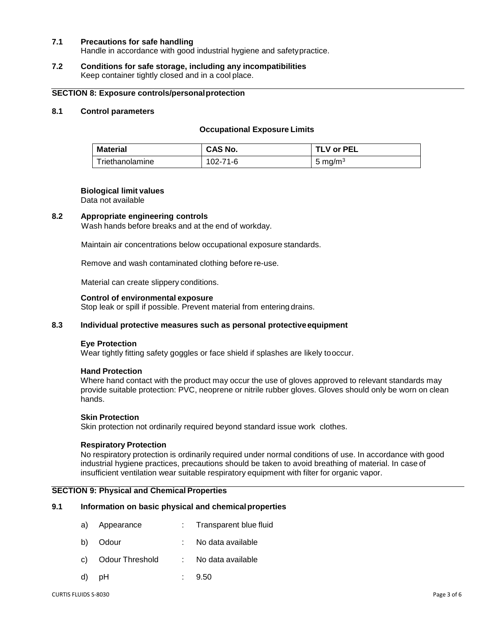#### **7.1 Precautions for safe handling**

Handle in accordance with good industrial hygiene and safetypractice.

#### **7.2 Conditions for safe storage, including any incompatibilities** Keep container tightly closed and in a cool place.

#### **SECTION 8: Exposure controls/personalprotection**

## **8.1 Control parameters**

#### **Occupational Exposure Limits**

| Material        | <b>CAS No.</b> | TLV or PEL |
|-----------------|----------------|------------|
| Triethanolamine | 102-71-6       | 5 mg/m $3$ |

#### **Biological limit values**

Data not available

#### **8.2 Appropriate engineering controls**

Wash hands before breaks and at the end of workday.

Maintain air concentrations below occupational exposure standards.

Remove and wash contaminated clothing before re-use.

Material can create slippery conditions.

#### **Control of environmental exposure**

Stop leak or spill if possible. Prevent material from entering drains.

## **8.3 Individual protective measures such as personal protectiveequipment**

#### **Eye Protection**

Wear tightly fitting safety goggles or face shield if splashes are likely tooccur.

#### **Hand Protection**

Where hand contact with the product may occur the use of gloves approved to relevant standards may provide suitable protection: PVC, neoprene or nitrile rubber gloves. Gloves should only be worn on clean hands.

#### **Skin Protection**

Skin protection not ordinarily required beyond standard issue work clothes.

## **Respiratory Protection**

No respiratory protection is ordinarily required under normal conditions of use. In accordance with good industrial hygiene practices, precautions should be taken to avoid breathing of material. In case of insufficient ventilation wear suitable respiratory equipment with filter for organic vapor.

## **SECTION 9: Physical and Chemical Properties**

#### **9.1 Information on basic physical and chemicalproperties**

- a) Appearance : Transparent blue fluid
- b) Odour : No data available
- c) Odour Threshold : No data available
- d) pH : 9.50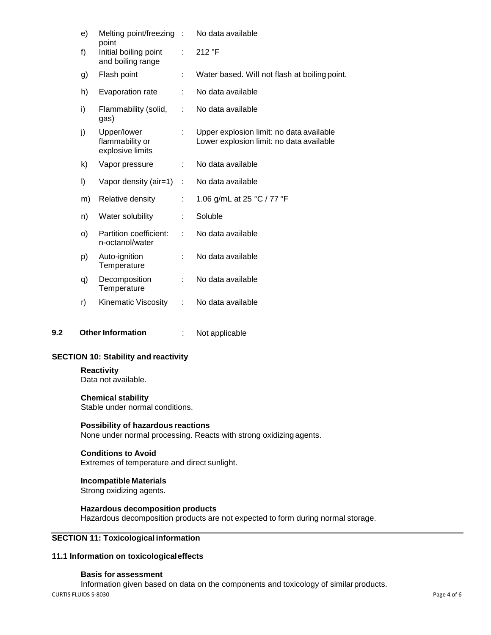|     | e) | Melting point/freezing :                            |                     | No data available                                                                    |
|-----|----|-----------------------------------------------------|---------------------|--------------------------------------------------------------------------------------|
|     | f) | point<br>Initial boiling point<br>and boiling range | ÷                   | 212 °F                                                                               |
|     | g) | Flash point                                         | ÷                   | Water based. Will not flash at boiling point.                                        |
|     | h) | Evaporation rate                                    | t.                  | No data available                                                                    |
|     | i) | Flammability (solid,<br>gas)                        | ÷                   | No data available                                                                    |
|     | j) | Upper/lower<br>flammability or<br>explosive limits  | ÷                   | Upper explosion limit: no data available<br>Lower explosion limit: no data available |
|     | k) | Vapor pressure                                      | ÷                   | No data available                                                                    |
|     | I) | Vapor density (air=1)                               | $\bar{\mathcal{L}}$ | No data available                                                                    |
|     | m) | Relative density                                    | ÷                   | 1.06 g/mL at 25 °C / 77 °F                                                           |
|     | n) | Water solubility                                    | ÷                   | Soluble                                                                              |
|     | O) | Partition coefficient:<br>n-octanol/water           | ÷                   | No data available                                                                    |
|     | p) | Auto-ignition<br>Temperature                        | ÷                   | No data available                                                                    |
|     | q) | Decomposition<br>Temperature                        | ÷                   | No data available                                                                    |
|     | r) | Kinematic Viscosity                                 | ÷                   | No data available                                                                    |
| 9.2 |    | <b>Other Information</b>                            |                     | Not applicable                                                                       |

## **SECTION 10: Stability and reactivity**

### **Reactivity**

Data not available.

#### **Chemical stability**

Stable under normal conditions.

#### **Possibility of hazardous reactions**

None under normal processing. Reacts with strong oxidizing agents.

#### **Conditions to Avoid**

Extremes of temperature and direct sunlight.

## **Incompatible Materials**

Strong oxidizing agents.

#### **Hazardous decomposition products**

Hazardous decomposition products are not expected to form during normal storage.

## **SECTION 11: Toxicological information**

#### **11.1 Information on toxicologicaleffects**

#### **Basis for assessment**

CURTIS FLUIDS S-8030 Page 4 of 6 Information given based on data on the components and toxicology of similarproducts.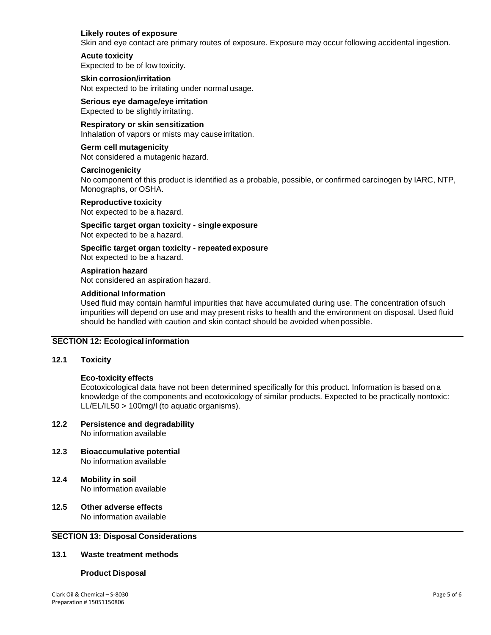#### **Likely routes of exposure**

Skin and eye contact are primary routes of exposure. Exposure may occur following accidental ingestion.

#### **Acute toxicity**

Expected to be of low toxicity.

**Skin corrosion/irritation**

Not expected to be irritating under normal usage.

## **Serious eye damage/eye irritation**

Expected to be slightly irritating.

## **Respiratory or skin sensitization**

Inhalation of vapors or mists may cause irritation.

#### **Germ cell mutagenicity** Not considered a mutagenic hazard.

#### **Carcinogenicity**

No component of this product is identified as a probable, possible, or confirmed carcinogen by IARC, NTP, Monographs, or OSHA.

**Reproductive toxicity** Not expected to be a hazard.

## **Specific target organ toxicity - single exposure** Not expected to be a hazard.

**Specific target organ toxicity - repeatedexposure** Not expected to be a hazard.

#### **Aspiration hazard**

Not considered an aspiration hazard.

#### **Additional Information**

Used fluid may contain harmful impurities that have accumulated during use. The concentration of such impurities will depend on use and may present risks to health and the environment on disposal. Used fluid should be handled with caution and skin contact should be avoided whenpossible.

## **SECTION 12: Ecological information**

#### **12.1 Toxicity**

## **Eco-toxicity effects**

Ecotoxicological data have not been determined specifically for this product. Information is based on a knowledge of the components and ecotoxicology of similar products. Expected to be practically nontoxic: LL/EL/IL50 > 100mg/l (to aquatic organisms).

## **12.2 Persistence and degradability**

No information available

- **12.3 Bioaccumulative potential** No information available
- **12.4 Mobility in soil** No information available
- **12.5 Other adverse effects** No information available

## **SECTION 13: Disposal Considerations**

#### **13.1 Waste treatment methods**

#### **Product Disposal**